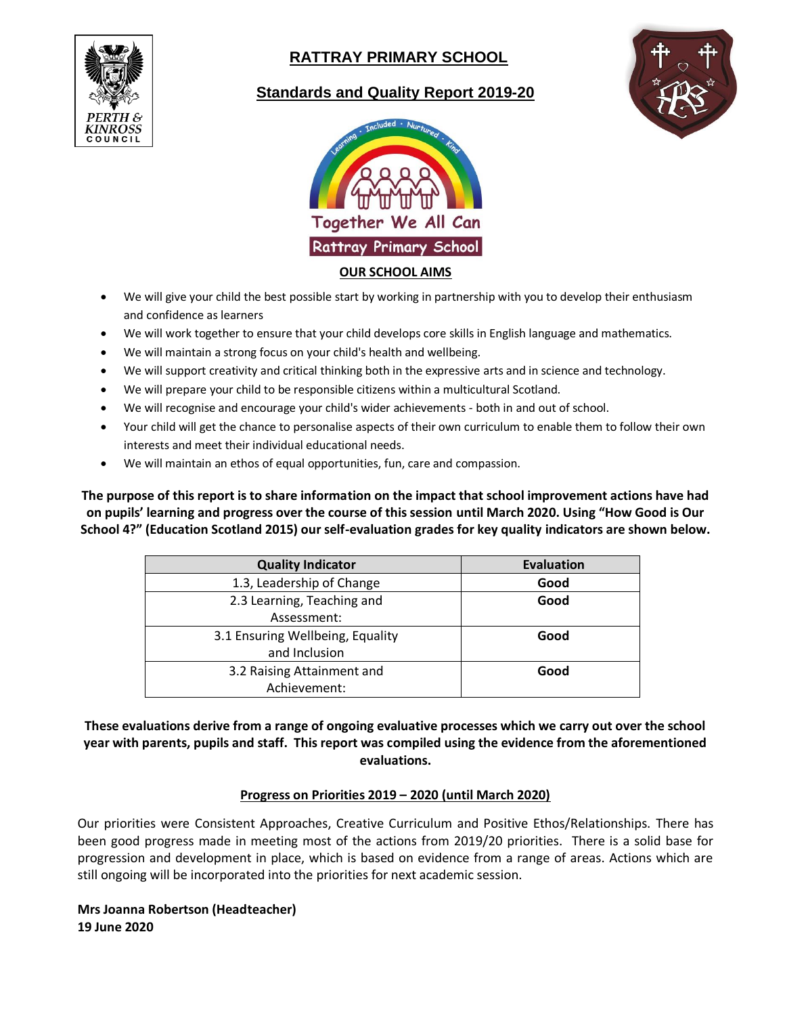

# **RATTRAY PRIMARY SCHOOL**

## **Standards and Quality Report 2019-20**





- We will give your child the best possible start by working in partnership with you to develop their enthusiasm and confidence as learners
- We will work together to ensure that your child develops core skills in English language and mathematics.
- We will maintain a strong focus on your child's health and wellbeing.
- We will support creativity and critical thinking both in the expressive arts and in science and technology.
- We will prepare your child to be responsible citizens within a multicultural Scotland.
- We will recognise and encourage your child's wider achievements both in and out of school.
- Your child will get the chance to personalise aspects of their own curriculum to enable them to follow their own interests and meet their individual educational needs.
- We will maintain an ethos of equal opportunities, fun, care and compassion.

**The purpose of this report is to share information on the impact that school improvement actions have had on pupils' learning and progress over the course of this session until March 2020. Using "How Good is Our School 4?" (Education Scotland 2015) our self-evaluation grades for key quality indicators are shown below.**

| <b>Quality Indicator</b>         | <b>Evaluation</b> |
|----------------------------------|-------------------|
| 1.3, Leadership of Change        | Good              |
| 2.3 Learning, Teaching and       | Good              |
| Assessment:                      |                   |
| 3.1 Ensuring Wellbeing, Equality | Good              |
| and Inclusion                    |                   |
| 3.2 Raising Attainment and       | Good              |
| Achievement:                     |                   |

## **These evaluations derive from a range of ongoing evaluative processes which we carry out over the school year with parents, pupils and staff. This report was compiled using the evidence from the aforementioned evaluations.**

## **Progress on Priorities 2019 – 2020 (until March 2020)**

Our priorities were Consistent Approaches, Creative Curriculum and Positive Ethos/Relationships. There has been good progress made in meeting most of the actions from 2019/20 priorities. There is a solid base for progression and development in place, which is based on evidence from a range of areas. Actions which are still ongoing will be incorporated into the priorities for next academic session.

**Mrs Joanna Robertson (Headteacher) 19 June 2020**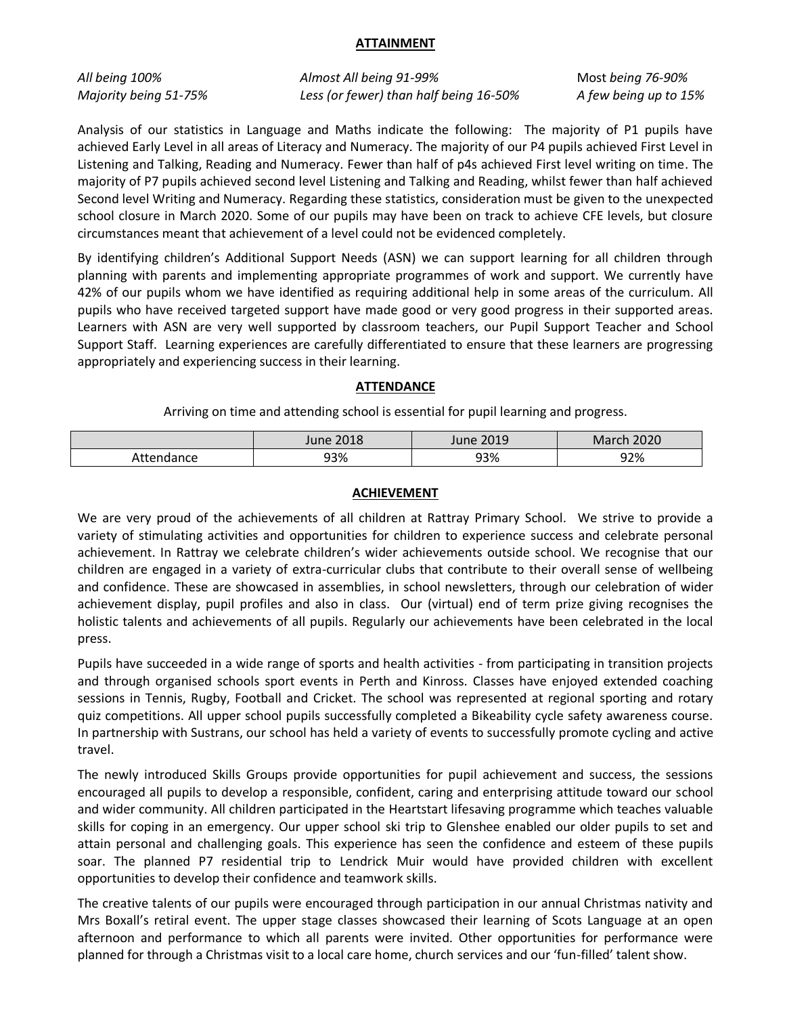#### **ATTAINMENT**

*All being 100%* Almost All being 91-99% Most being 76-90% *Majority being 51-75% Less (or fewer) than half being 16-50% A few being up to 15%* 

Analysis of our statistics in Language and Maths indicate the following: The majority of P1 pupils have achieved Early Level in all areas of Literacy and Numeracy. The majority of our P4 pupils achieved First Level in Listening and Talking, Reading and Numeracy. Fewer than half of p4s achieved First level writing on time. The majority of P7 pupils achieved second level Listening and Talking and Reading, whilst fewer than half achieved Second level Writing and Numeracy. Regarding these statistics, consideration must be given to the unexpected school closure in March 2020. Some of our pupils may have been on track to achieve CFE levels, but closure circumstances meant that achievement of a level could not be evidenced completely.

By identifying children's Additional Support Needs (ASN) we can support learning for all children through planning with parents and implementing appropriate programmes of work and support. We currently have 42% of our pupils whom we have identified as requiring additional help in some areas of the curriculum. All pupils who have received targeted support have made good or very good progress in their supported areas. Learners with ASN are very well supported by classroom teachers, our Pupil Support Teacher and School Support Staff. Learning experiences are carefully differentiated to ensure that these learners are progressing appropriately and experiencing success in their learning.

## **ATTENDANCE**

Arriving on time and attending school is essential for pupil learning and progress.

|            | June 2018 | <b>June 2019</b> | March 2020 |
|------------|-----------|------------------|------------|
| Attendance | 93%       | 93%              | 92%        |

### **ACHIEVEMENT**

We are very proud of the achievements of all children at Rattray Primary School. We strive to provide a variety of stimulating activities and opportunities for children to experience success and celebrate personal achievement. In Rattray we celebrate children's wider achievements outside school. We recognise that our children are engaged in a variety of extra-curricular clubs that contribute to their overall sense of wellbeing and confidence. These are showcased in assemblies, in school newsletters, through our celebration of wider achievement display, pupil profiles and also in class. Our (virtual) end of term prize giving recognises the holistic talents and achievements of all pupils. Regularly our achievements have been celebrated in the local press.

Pupils have succeeded in a wide range of sports and health activities - from participating in transition projects and through organised schools sport events in Perth and Kinross. Classes have enjoyed extended coaching sessions in Tennis, Rugby, Football and Cricket. The school was represented at regional sporting and rotary quiz competitions. All upper school pupils successfully completed a Bikeability cycle safety awareness course. In partnership with Sustrans, our school has held a variety of events to successfully promote cycling and active travel.

The newly introduced Skills Groups provide opportunities for pupil achievement and success, the sessions encouraged all pupils to develop a responsible, confident, caring and enterprising attitude toward our school and wider community. All children participated in the Heartstart lifesaving programme which teaches valuable skills for coping in an emergency. Our upper school ski trip to Glenshee enabled our older pupils to set and attain personal and challenging goals. This experience has seen the confidence and esteem of these pupils soar. The planned P7 residential trip to Lendrick Muir would have provided children with excellent opportunities to develop their confidence and teamwork skills.

The creative talents of our pupils were encouraged through participation in our annual Christmas nativity and Mrs Boxall's retiral event. The upper stage classes showcased their learning of Scots Language at an open afternoon and performance to which all parents were invited. Other opportunities for performance were planned for through a Christmas visit to a local care home, church services and our 'fun-filled' talent show.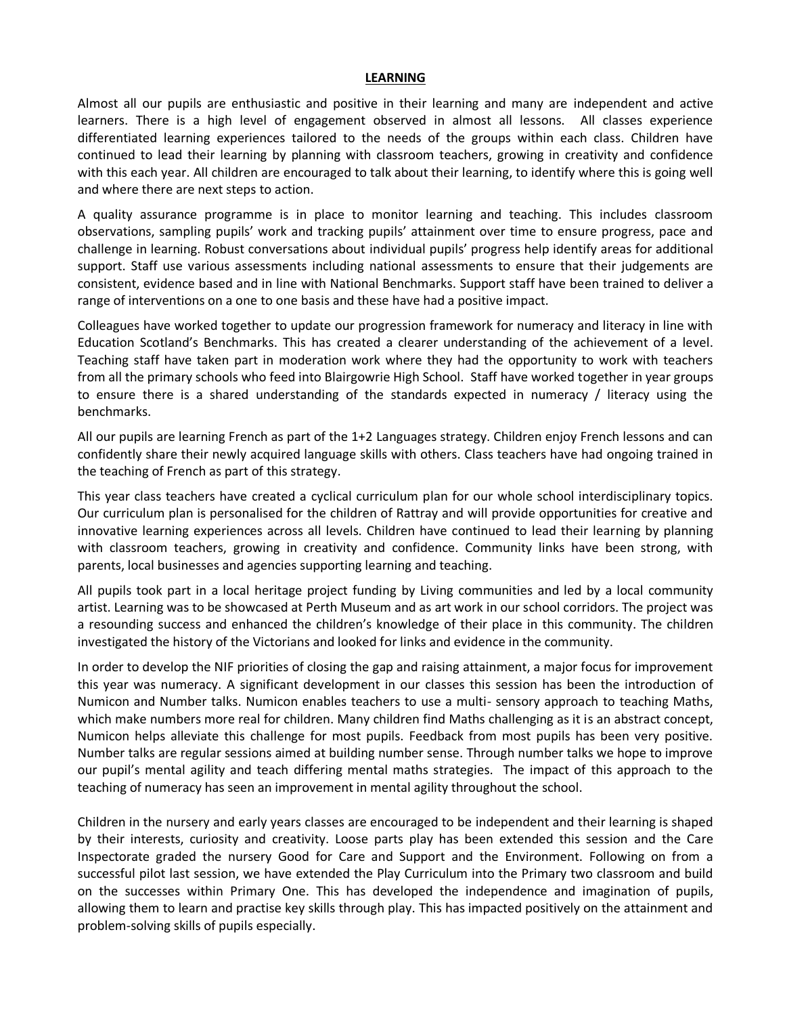#### **LEARNING**

Almost all our pupils are enthusiastic and positive in their learning and many are independent and active learners. There is a high level of engagement observed in almost all lessons. All classes experience differentiated learning experiences tailored to the needs of the groups within each class. Children have continued to lead their learning by planning with classroom teachers, growing in creativity and confidence with this each year. All children are encouraged to talk about their learning, to identify where this is going well and where there are next steps to action.

A quality assurance programme is in place to monitor learning and teaching. This includes classroom observations, sampling pupils' work and tracking pupils' attainment over time to ensure progress, pace and challenge in learning. Robust conversations about individual pupils' progress help identify areas for additional support. Staff use various assessments including national assessments to ensure that their judgements are consistent, evidence based and in line with National Benchmarks. Support staff have been trained to deliver a range of interventions on a one to one basis and these have had a positive impact.

Colleagues have worked together to update our progression framework for numeracy and literacy in line with Education Scotland's Benchmarks. This has created a clearer understanding of the achievement of a level. Teaching staff have taken part in moderation work where they had the opportunity to work with teachers from all the primary schools who feed into Blairgowrie High School. Staff have worked together in year groups to ensure there is a shared understanding of the standards expected in numeracy / literacy using the benchmarks.

All our pupils are learning French as part of the 1+2 Languages strategy. Children enjoy French lessons and can confidently share their newly acquired language skills with others. Class teachers have had ongoing trained in the teaching of French as part of this strategy.

This year class teachers have created a cyclical curriculum plan for our whole school interdisciplinary topics. Our curriculum plan is personalised for the children of Rattray and will provide opportunities for creative and innovative learning experiences across all levels. Children have continued to lead their learning by planning with classroom teachers, growing in creativity and confidence. Community links have been strong, with parents, local businesses and agencies supporting learning and teaching.

All pupils took part in a local heritage project funding by Living communities and led by a local community artist. Learning was to be showcased at Perth Museum and as art work in our school corridors. The project was a resounding success and enhanced the children's knowledge of their place in this community. The children investigated the history of the Victorians and looked for links and evidence in the community.

In order to develop the NIF priorities of closing the gap and raising attainment, a major focus for improvement this year was numeracy. A significant development in our classes this session has been the introduction of Numicon and Number talks. Numicon enables teachers to use a multi- sensory approach to teaching Maths, which make numbers more real for children. Many children find Maths challenging as it is an abstract concept, Numicon helps alleviate this challenge for most pupils. Feedback from most pupils has been very positive. Number talks are regular sessions aimed at building number sense. Through number talks we hope to improve our pupil's mental agility and teach differing mental maths strategies. The impact of this approach to the teaching of numeracy has seen an improvement in mental agility throughout the school.

Children in the nursery and early years classes are encouraged to be independent and their learning is shaped by their interests, curiosity and creativity. Loose parts play has been extended this session and the Care Inspectorate graded the nursery Good for Care and Support and the Environment. Following on from a successful pilot last session, we have extended the Play Curriculum into the Primary two classroom and build on the successes within Primary One. This has developed the independence and imagination of pupils, allowing them to learn and practise key skills through play. This has impacted positively on the attainment and problem-solving skills of pupils especially.